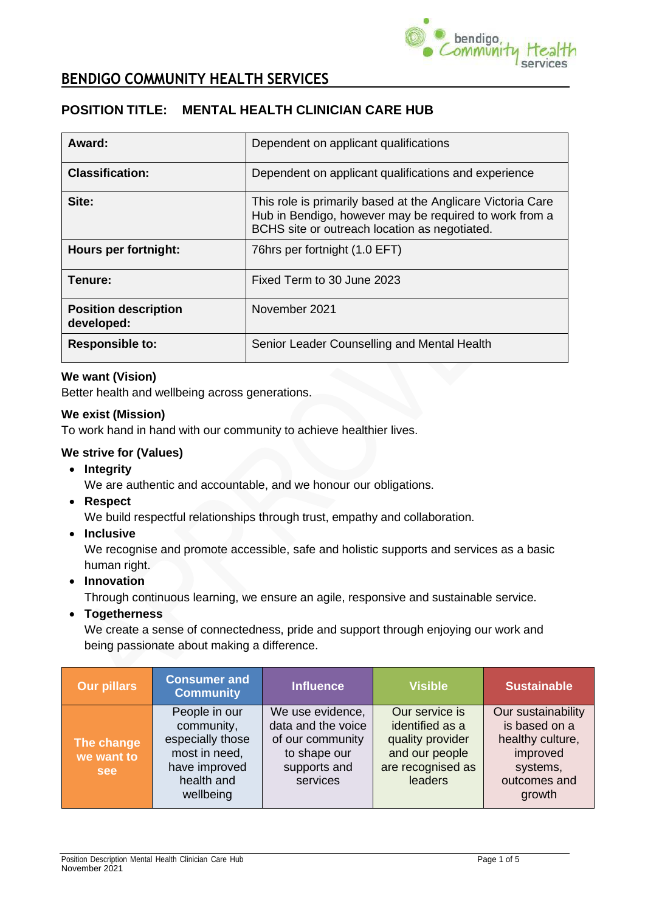

## **POSITION TITLE: MENTAL HEALTH CLINICIAN CARE HUB**

| Award:                                    | Dependent on applicant qualifications                                                                                                                                  |  |  |
|-------------------------------------------|------------------------------------------------------------------------------------------------------------------------------------------------------------------------|--|--|
| <b>Classification:</b>                    | Dependent on applicant qualifications and experience                                                                                                                   |  |  |
| Site:                                     | This role is primarily based at the Anglicare Victoria Care<br>Hub in Bendigo, however may be required to work from a<br>BCHS site or outreach location as negotiated. |  |  |
| Hours per fortnight:                      | 76hrs per fortnight (1.0 EFT)                                                                                                                                          |  |  |
| Tenure:                                   | Fixed Term to 30 June 2023                                                                                                                                             |  |  |
| <b>Position description</b><br>developed: | November 2021                                                                                                                                                          |  |  |
| <b>Responsible to:</b>                    | Senior Leader Counselling and Mental Health                                                                                                                            |  |  |

#### **We want (Vision)**

Better health and wellbeing across generations.

#### **We exist (Mission)**

To work hand in hand with our community to achieve healthier lives.

#### **We strive for (Values)**

• **Integrity**

We are authentic and accountable, and we honour our obligations.

• **Respect**

We build respectful relationships through trust, empathy and collaboration.

• **Inclusive**

We recognise and promote accessible, safe and holistic supports and services as a basic human right.

• **Innovation**

Through continuous learning, we ensure an agile, responsive and sustainable service.

• **Togetherness**

We create a sense of connectedness, pride and support through enjoying our work and being passionate about making a difference.

| <b>Our pillars</b>                     | <b>Consumer and</b><br><b>Community</b>                                                                      | <b>Influence</b>                                                                                       | <b>Visible</b>                                                                                          | <b>Sustainable</b>                                                                                        |
|----------------------------------------|--------------------------------------------------------------------------------------------------------------|--------------------------------------------------------------------------------------------------------|---------------------------------------------------------------------------------------------------------|-----------------------------------------------------------------------------------------------------------|
| The change<br>we want to<br><b>see</b> | People in our<br>community,<br>especially those<br>most in need,<br>have improved<br>health and<br>wellbeing | We use evidence,<br>data and the voice<br>of our community<br>to shape our<br>supports and<br>services | Our service is<br>identified as a<br>quality provider<br>and our people<br>are recognised as<br>leaders | Our sustainability<br>is based on a<br>healthy culture,<br>improved<br>systems,<br>outcomes and<br>growth |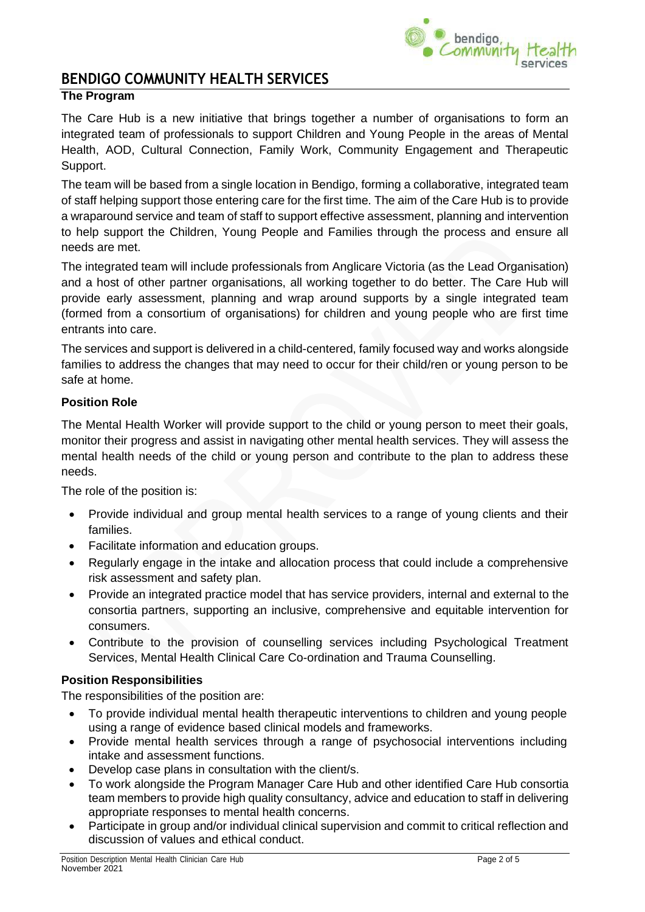

## **The Program**

The Care Hub is a new initiative that brings together a number of organisations to form an integrated team of professionals to support Children and Young People in the areas of Mental Health, AOD, Cultural Connection, Family Work, Community Engagement and Therapeutic Support.

The team will be based from a single location in Bendigo, forming a collaborative, integrated team of staff helping support those entering care for the first time. The aim of the Care Hub is to provide a wraparound service and team of staff to support effective assessment, planning and intervention to help support the Children, Young People and Families through the process and ensure all needs are met.

The integrated team will include professionals from Anglicare Victoria (as the Lead Organisation) and a host of other partner organisations, all working together to do better. The Care Hub will provide early assessment, planning and wrap around supports by a single integrated team (formed from a consortium of organisations) for children and young people who are first time entrants into care.

The services and support is delivered in a child-centered, family focused way and works alongside families to address the changes that may need to occur for their child/ren or young person to be safe at home.

## **Position Role**

The Mental Health Worker will provide support to the child or young person to meet their goals, monitor their progress and assist in navigating other mental health services. They will assess the mental health needs of the child or young person and contribute to the plan to address these needs.

The role of the position is:

- Provide individual and group mental health services to a range of young clients and their families.
- Facilitate information and education groups.
- Regularly engage in the intake and allocation process that could include a comprehensive risk assessment and safety plan.
- Provide an integrated practice model that has service providers, internal and external to the consortia partners, supporting an inclusive, comprehensive and equitable intervention for consumers.
- Contribute to the provision of counselling services including Psychological Treatment Services, Mental Health Clinical Care Co-ordination and Trauma Counselling.

#### **Position Responsibilities**

The responsibilities of the position are:

- To provide individual mental health therapeutic interventions to children and young people using a range of evidence based clinical models and frameworks.
- Provide mental health services through a range of psychosocial interventions including intake and assessment functions.
- Develop case plans in consultation with the client/s.
- To work alongside the Program Manager Care Hub and other identified Care Hub consortia team members to provide high quality consultancy, advice and education to staff in delivering appropriate responses to mental health concerns.
- Participate in group and/or individual clinical supervision and commit to critical reflection and discussion of values and ethical conduct.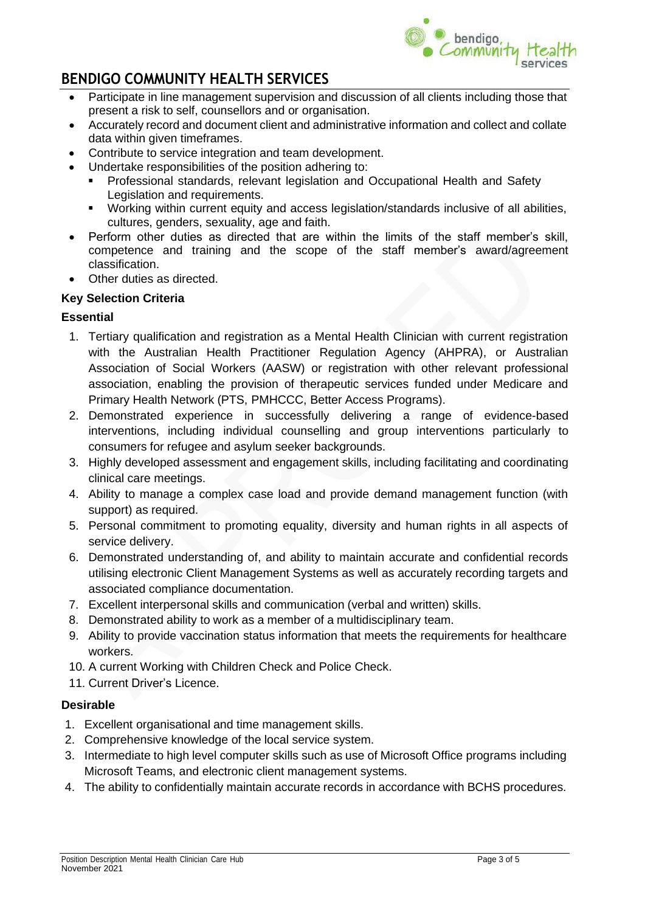

- Participate in line management supervision and discussion of all clients including those that present a risk to self, counsellors and or organisation.
- Accurately record and document client and administrative information and collect and collate data within given timeframes.
- Contribute to service integration and team development.
- Undertake responsibilities of the position adhering to:
	- Professional standards, relevant legislation and Occupational Health and Safety Legislation and requirements.
	- Working within current equity and access legislation/standards inclusive of all abilities, cultures, genders, sexuality, age and faith.
- Perform other duties as directed that are within the limits of the staff member's skill, competence and training and the scope of the staff member's award/agreement classification.
- Other duties as directed.

## **Key Selection Criteria**

## **Essential**

- 1. Tertiary qualification and registration as a Mental Health Clinician with current registration with the Australian Health Practitioner Regulation Agency (AHPRA), or Australian Association of Social Workers (AASW) or registration with other relevant professional association, enabling the provision of therapeutic services funded under Medicare and Primary Health Network (PTS, PMHCCC, Better Access Programs).
- 2. Demonstrated experience in successfully delivering a range of evidence-based interventions, including individual counselling and group interventions particularly to consumers for refugee and asylum seeker backgrounds.
- 3. Highly developed assessment and engagement skills, including facilitating and coordinating clinical care meetings.
- 4. Ability to manage a complex case load and provide demand management function (with support) as required.
- 5. Personal commitment to promoting equality, diversity and human rights in all aspects of service delivery.
- 6. Demonstrated understanding of, and ability to maintain accurate and confidential records utilising electronic Client Management Systems as well as accurately recording targets and associated compliance documentation.
- 7. Excellent interpersonal skills and communication (verbal and written) skills.
- 8. Demonstrated ability to work as a member of a multidisciplinary team.
- 9. Ability to provide vaccination status information that meets the requirements for healthcare workers.
- 10. A current Working with Children Check and Police Check.
- 11. Current Driver's Licence.

#### **Desirable**

- 1. Excellent organisational and time management skills.
- 2. Comprehensive knowledge of the local service system.
- 3. Intermediate to high level computer skills such as use of Microsoft Office programs including Microsoft Teams, and electronic client management systems.
- 4. The ability to confidentially maintain accurate records in accordance with BCHS procedures.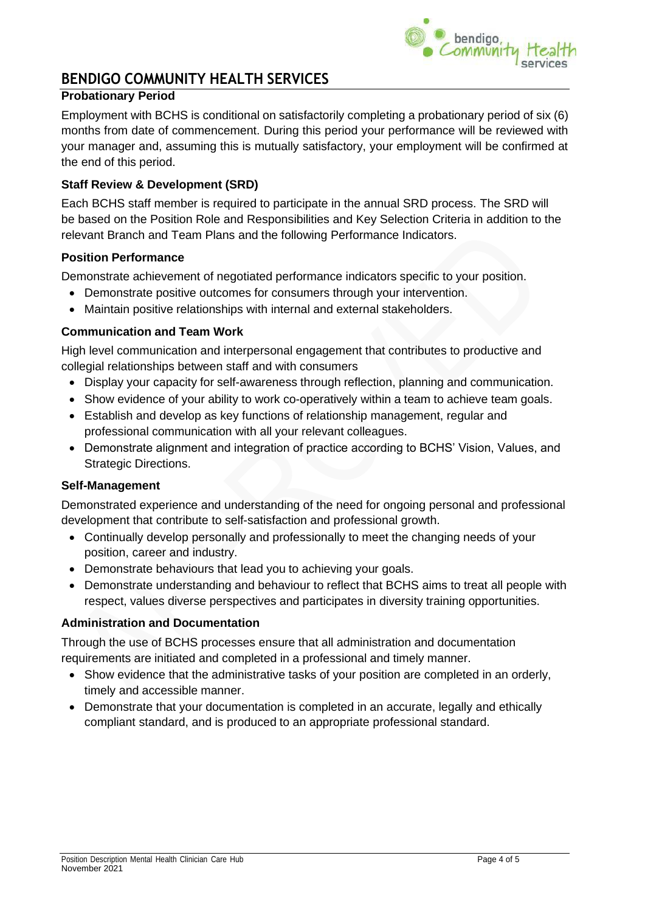

### **Probationary Period**

Employment with BCHS is conditional on satisfactorily completing a probationary period of six (6) months from date of commencement. During this period your performance will be reviewed with your manager and, assuming this is mutually satisfactory, your employment will be confirmed at the end of this period.

## **Staff Review & Development (SRD)**

Each BCHS staff member is required to participate in the annual SRD process. The SRD will be based on the Position Role and Responsibilities and Key Selection Criteria in addition to the relevant Branch and Team Plans and the following Performance Indicators.

#### **Position Performance**

Demonstrate achievement of negotiated performance indicators specific to your position.

- Demonstrate positive outcomes for consumers through your intervention.
- Maintain positive relationships with internal and external stakeholders.

## **Communication and Team Work**

High level communication and interpersonal engagement that contributes to productive and collegial relationships between staff and with consumers

- Display your capacity for self-awareness through reflection, planning and communication.
- Show evidence of your ability to work co-operatively within a team to achieve team goals.
- Establish and develop as key functions of relationship management, regular and professional communication with all your relevant colleagues.
- Demonstrate alignment and integration of practice according to BCHS' Vision, Values, and Strategic Directions.

#### **Self-Management**

Demonstrated experience and understanding of the need for ongoing personal and professional development that contribute to self-satisfaction and professional growth.

- Continually develop personally and professionally to meet the changing needs of your position, career and industry.
- Demonstrate behaviours that lead you to achieving your goals.
- Demonstrate understanding and behaviour to reflect that BCHS aims to treat all people with respect, values diverse perspectives and participates in diversity training opportunities.

#### **Administration and Documentation**

Through the use of BCHS processes ensure that all administration and documentation requirements are initiated and completed in a professional and timely manner.

- Show evidence that the administrative tasks of your position are completed in an orderly, timely and accessible manner.
- Demonstrate that your documentation is completed in an accurate, legally and ethically compliant standard, and is produced to an appropriate professional standard.